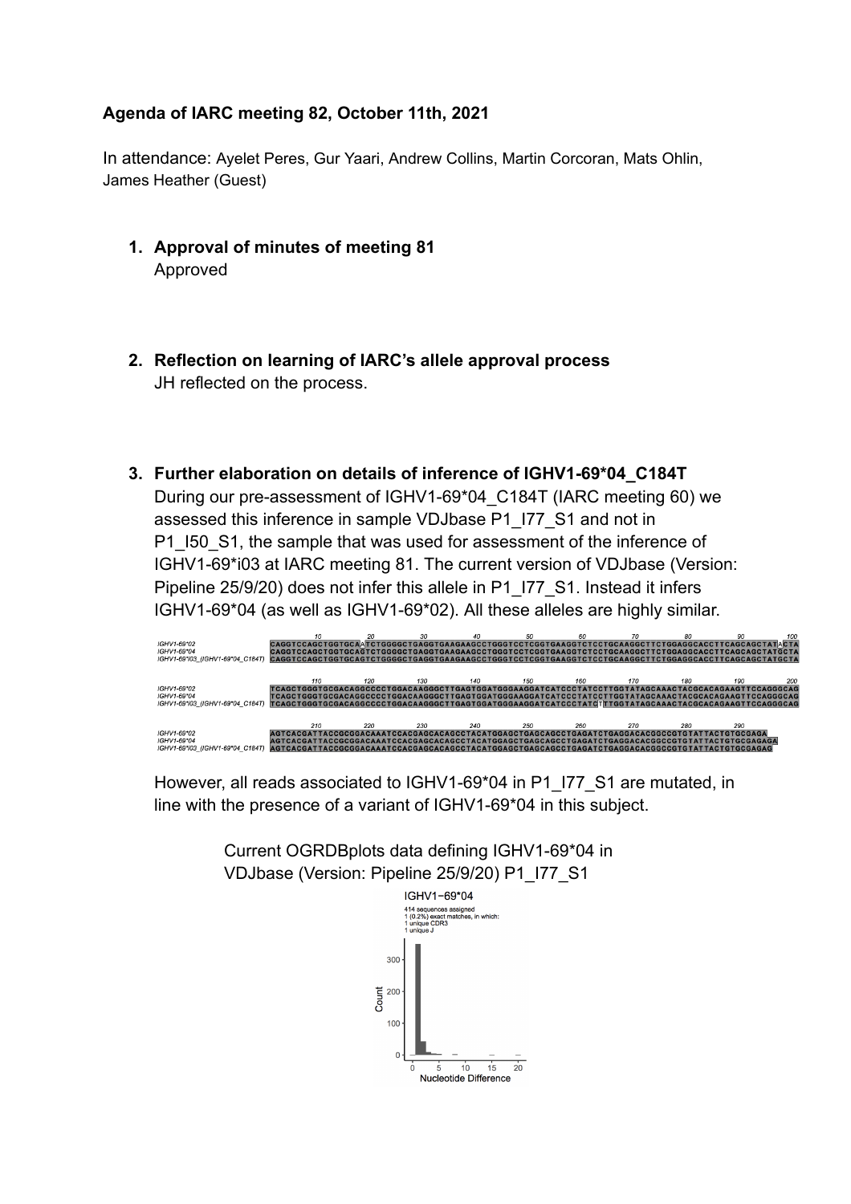## **Agenda of IARC meeting 82, October 11th, 2021**

In attendance: Ayelet Peres, Gur Yaari, Andrew Collins, Martin Corcoran, Mats Ohlin, James Heather (Guest)

- **1. Approval of minutes of meeting 81** Approved
- **2. Reflection on learning of IARC's allele approval process** JH reflected on the process.
- **3. Further elaboration on details of inference of IGHV1-69\*04\_C184T** During our pre-assessment of IGHV1-69\*04\_C184T (IARC meeting 60) we assessed this inference in sample VDJbase P1\_I77\_S1 and not in P1\_I50\_S1, the sample that was used for assessment of the inference of IGHV1-69\*i03 at IARC meeting 81. The current version of VDJbase (Version: Pipeline 25/9/20) does not infer this allele in P1\_I77\_S1. Instead it infers IGHV1-69\*04 (as well as IGHV1-69\*02). All these alleles are highly similar.



However, all reads associated to IGHV1-69\*04 in P1\_I77\_S1 are mutated, in line with the presence of a variant of IGHV1-69\*04 in this subject.

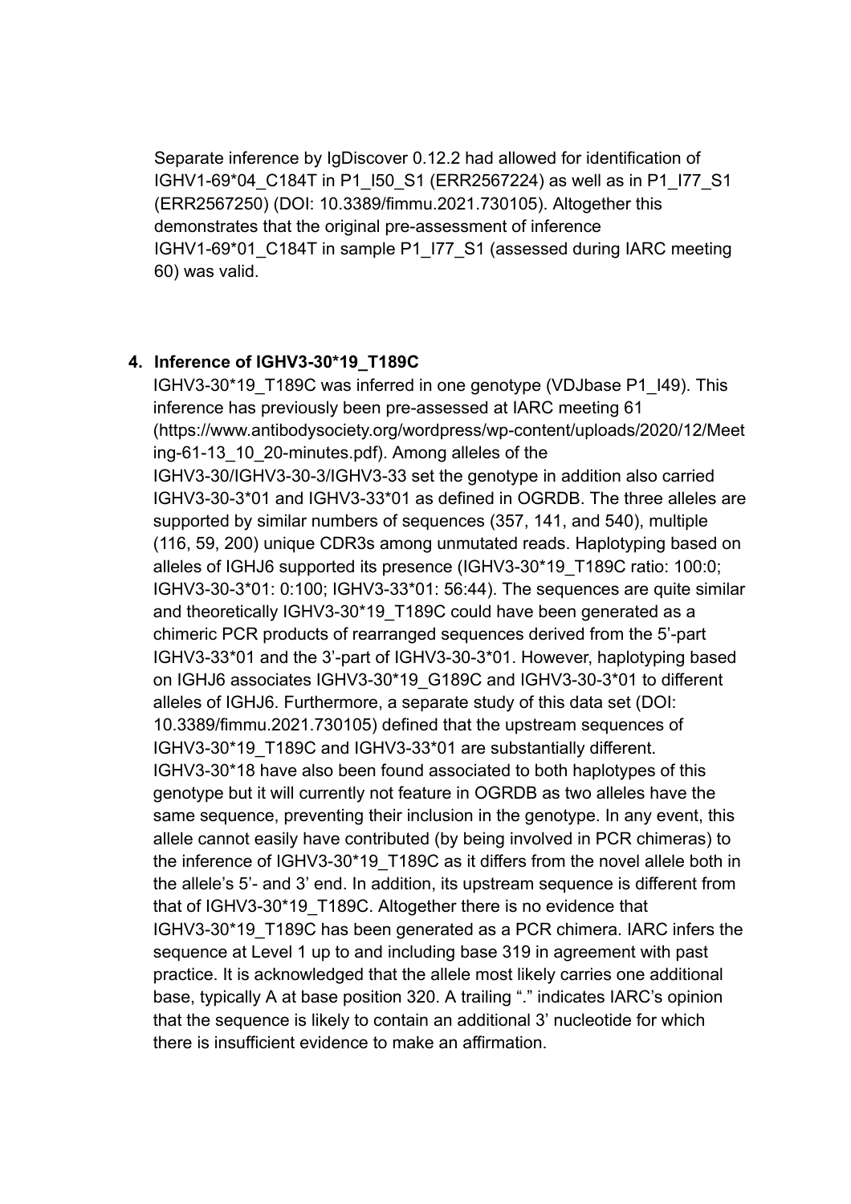Separate inference by IgDiscover 0.12.2 had allowed for identification of IGHV1-69\*04\_C184T in P1\_I50\_S1 (ERR2567224) as well as in P1\_I77\_S1 (ERR2567250) (DOI: 10.3389/fimmu.2021.730105). Altogether this demonstrates that the original pre-assessment of inference IGHV1-69\*01\_C184T in sample P1\_I77\_S1 (assessed during IARC meeting 60) was valid.

## **4. Inference of IGHV3-30\*19\_T189C**

IGHV3-30\*19\_T189C was inferred in one genotype (VDJbase P1\_I49). This inference has previously been pre-assessed at IARC meeting 61 (https://www.antibodysociety.org/wordpress/wp-content/uploads/2020/12/Meet ing-61-13 10 20-minutes.pdf). Among alleles of the IGHV3-30/IGHV3-30-3/IGHV3-33 set the genotype in addition also carried IGHV3-30-3\*01 and IGHV3-33\*01 as defined in OGRDB. The three alleles are supported by similar numbers of sequences (357, 141, and 540), multiple (116, 59, 200) unique CDR3s among unmutated reads. Haplotyping based on alleles of IGHJ6 supported its presence (IGHV3-30\*19\_T189C ratio: 100:0; IGHV3-30-3\*01: 0:100; IGHV3-33\*01: 56:44). The sequences are quite similar and theoretically IGHV3-30\*19\_T189C could have been generated as a chimeric PCR products of rearranged sequences derived from the 5'-part IGHV3-33\*01 and the 3'-part of IGHV3-30-3\*01. However, haplotyping based on IGHJ6 associates IGHV3-30\*19\_G189C and IGHV3-30-3\*01 to different alleles of IGHJ6. Furthermore, a separate study of this data set (DOI: 10.3389/fimmu.2021.730105) defined that the upstream sequences of IGHV3-30\*19\_T189C and IGHV3-33\*01 are substantially different. IGHV3-30\*18 have also been found associated to both haplotypes of this genotype but it will currently not feature in OGRDB as two alleles have the same sequence, preventing their inclusion in the genotype. In any event, this allele cannot easily have contributed (by being involved in PCR chimeras) to the inference of IGHV3-30\*19\_T189C as it differs from the novel allele both in the allele's 5'- and 3' end. In addition, its upstream sequence is different from that of IGHV3-30\*19\_T189C. Altogether there is no evidence that IGHV3-30\*19\_T189C has been generated as a PCR chimera. IARC infers the sequence at Level 1 up to and including base 319 in agreement with past practice. It is acknowledged that the allele most likely carries one additional base, typically A at base position 320. A trailing "." indicates IARC's opinion that the sequence is likely to contain an additional 3' nucleotide for which there is insufficient evidence to make an affirmation.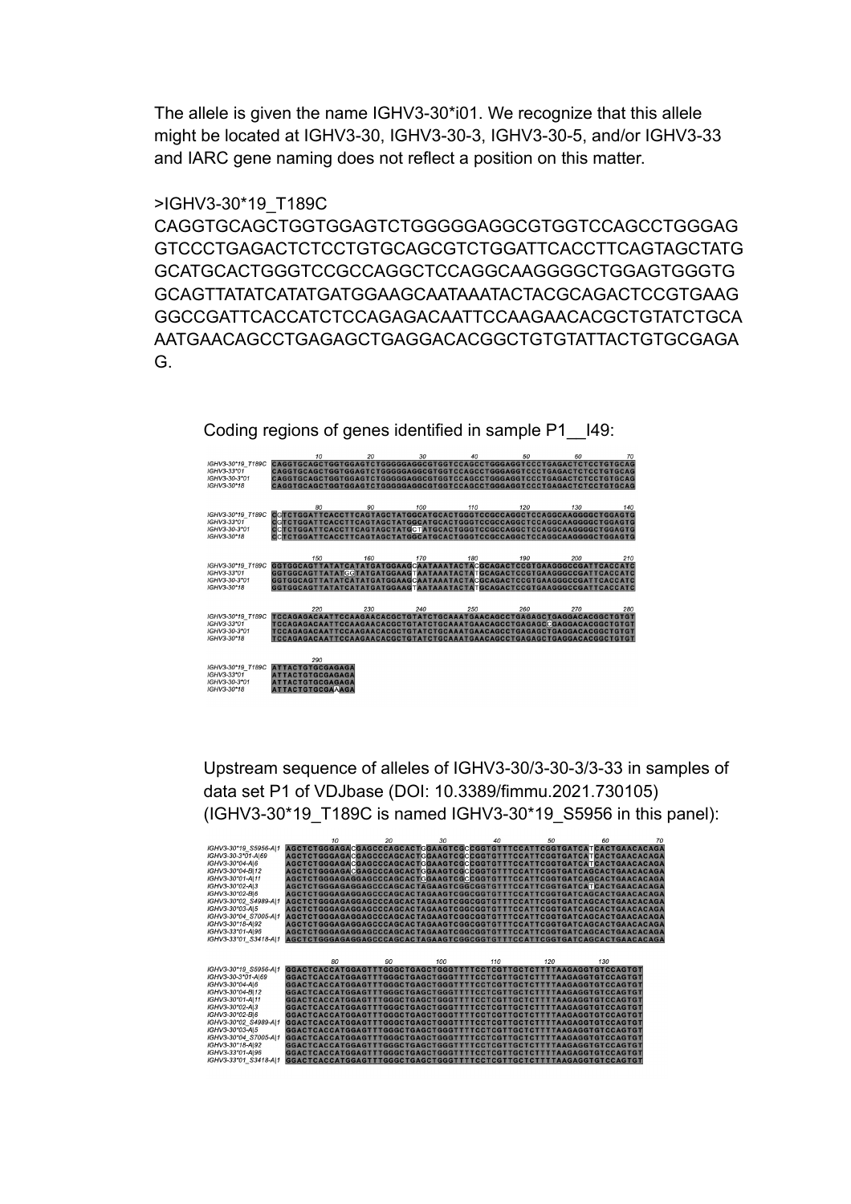The allele is given the name IGHV3-30\*i01. We recognize that this allele might be located at IGHV3-30, IGHV3-30-3, IGHV3-30-5, and/or IGHV3-33 and IARC gene naming does not reflect a position on this matter.

## >IGHV3-30\*19\_T189C

CAGGTGCAGCTGGTGGAGTCTGGGGGAGGCGTGGTCCAGCCTGGGAG GTCCCTGAGACTCTCCTGTGCAGCGTCTGGATTCACCTTCAGTAGCTATG GCATGCACTGGGTCCGCCAGGCTCCAGGCAAGGGGCTGGAGTGGGTG GCAGTTATATCATATGATGGAAGCAATAAATACTACGCAGACTCCGTGAAG GGCCGATTCACCATCTCCAGAGACAATTCCAAGAACACGCTGTATCTGCA AATGAACAGCCTGAGAGCTGAGGACACGGCTGTGTATTACTGTGCGAGA G.



Upstream sequence of alleles of IGHV3-30/3-30-3/3-33 in samples of data set P1 of VDJbase (DOI: 10.3389/fimmu.2021.730105) (IGHV3-30\*19\_T189C is named IGHV3-30\*19\_S5956 in this panel):

|                       | $10^{-1}$                                                              | 20 | 30 <sub>2</sub> | 40  | 50  | 60  | 70 |
|-----------------------|------------------------------------------------------------------------|----|-----------------|-----|-----|-----|----|
| IGHV3-30*19 S5956-A 1 | AGCTCTGGGAGACGAGCCCAGCACTGGAAGTCGCCGGTGTTTCCATTCGGTGATCATCACTGAACACAGA |    |                 |     |     |     |    |
| IGHV3-30-3*01-A 69    | AGCTCTGGGAGACGAGCCCAGCACTCGAAGTCGCCGGTGTTTCCATTCGGTGATCATCACTGAACACAGA |    |                 |     |     |     |    |
| IGHV3-30*04-A 6       | AGCTCTGGGAGACGAGCCCAGCACTCGAAGTCGCCGGTGTTTCCATTCGGTGATCATCACTGAACACAGA |    |                 |     |     |     |    |
| IGHV3-30*04-B 12      | AGCTCTGGGAGACGAGCCCAGCACTCGAAGTCGCCGGTGTTTCCATTCGGTGATCAGCACTGAACACAGA |    |                 |     |     |     |    |
| IGHV3-30*01-A 11      | AGCTCTGGGAGAGGAGCCCAGCACTGGAAGTCGCCGGTGTTTCCATTCGGTGATCAGCACTGAACACAGA |    |                 |     |     |     |    |
| IGHV3-30*02-AI3       | AGCTCTGGGAGAGGAGCCCAGCACTAGAAGTCGGCGGTGTTTCCATTCGGTGATCATCACTGAACACAGA |    |                 |     |     |     |    |
| IGHV3-30*02-BI6       | AGCTCTGGGAGAGGAGCCCAGCACTAGAAGTCGGCGGTGTTTCCATTCGGTGATCAGCACTGAACACAGA |    |                 |     |     |     |    |
| IGHV3-30*02 S4989-A 1 | AGCTCTGGGAGAGGAGCCCAGCACTAGAAGTCGGCGGTGTTTCCATTCGGTGATCAGCACTGAACACAGA |    |                 |     |     |     |    |
| IGHV3-30*03-AI5       | AGCTCTGGGAGAGGAGCCCAGCACTAGAAGTCGGCGGTGTTTCCATTCGGTGATCAGCACTGAACACAGA |    |                 |     |     |     |    |
| IGHV3-30*04 S7005-A 1 | AGCTCTGGGAGAGGAGCCCAGCACTAGAAGTCGGCGGTGTTTCCATTCGGTGATCAGCACTGAACACAGA |    |                 |     |     |     |    |
| IGHV3-30*18-A 92      | AGCTCTGGGAGAGGAGCCCAGCACTAGAAGTCGGCGGTGTTTCCATTCGGTGATCAGCACTGAACACAGA |    |                 |     |     |     |    |
| IGHV3-33*01-A 96      | AGCTCTGGGAGAGGAGCCCAGCACTAGAAGTCGGCGGTGTTTCCATTCGGTGATCAGCACTGAACACAGA |    |                 |     |     |     |    |
| IGHV3-33*01 S3418-AI1 | AGCTCTGGGAGAGGAGCCCAGCACTAGAAGTCGGCGGTGTTTCCATTCGGTGATCAGCACTGAACACAGA |    |                 |     |     |     |    |
|                       |                                                                        |    |                 |     |     |     |    |
|                       |                                                                        |    |                 |     |     |     |    |
|                       | 80                                                                     | 90 | $100 -$         | 110 | 120 | 130 |    |
| IGHV3-30*19 S5956-A 1 | GGACTCACCATGGAGTTTGGGCTGAGCTGGGTTTTCCTCGTTGCTCTTTTAAGAGGTGTCCAGTGT     |    |                 |     |     |     |    |
| IGHV3-30-3*01-A 69    | GGACTCACCATGGAGTTTGGGCTGAGCTGGGTTTTCCTCGTTGCTCTTTTAAGAGGTGTCCAGTGT     |    |                 |     |     |     |    |
| IGHV3-30*04-A 6       | GGACTCACCATGGAGTTTGGGCTGAGCTGGGTTTTCCTCGTTGCTCTTTTAAGAGGTGTCCAGTGT     |    |                 |     |     |     |    |
| IGHV3-30*04-B 12      | GGACTCACCATGGAGTTTGGGCTGAGCTGGGTTTTCCTCGTTGCTCTTTTAAGAGGTGTCCAGTGT     |    |                 |     |     |     |    |
|                       |                                                                        |    |                 |     |     |     |    |
| IGHV3-30*01-A 11      | GGACTCACCATGGAGTTTGGGCTGAGCTGGGTTTTCCTCGTTGCTCTTTTAAGAGGTGTCCAGTGT     |    |                 |     |     |     |    |
| IGHV3-30*02-A 3       | GGACTCACCATGGAGTTTGGGCTGAGCTGGGTTTTCCTCGTTGCTCTTTTAAGAGGTGTCCAGTGT     |    |                 |     |     |     |    |
| IGHV3-30*02-BI6       | GGACTCACCATGGAGTTTGGGCTGAGCTGGGTTTTCCTCGTTGCTCTTTTAAGAGGTGTCCAGTGT     |    |                 |     |     |     |    |
| IGHV3-30*02 S4989-A 1 | GGACTCACCATGGAGTTTGGGCTGAGCTGGGTTTTCCTCGTTGCTCTTTTAAGAGGTGTCCAGTGT     |    |                 |     |     |     |    |
| IGHV3-30*03-AI5       | GGACTCACCATGGAGTTTGGGCTGAGCTGGGTTTTCCTCGTTGCTCTTTTTAAGAGGTGTCCAGTGT    |    |                 |     |     |     |    |
| IGHV3-30*04 S7005-A 1 | GGACTCACCATGGAGTTTGGGCTGAGCTGGGTTTTCCTCGTTGCTCTTTTTAAGAGGTGTCCAGTGT    |    |                 |     |     |     |    |
| IGHV3-30*18-AI92      | GGACTCACCATGGAGTTTGGGCTGAGCTGGGTTTTCCTCGTTGCTCTTTTAAGAGGTGTCCAGTGT     |    |                 |     |     |     |    |
| IGHV3-33*01-AI96      | GGACTCACCATGGAGTTTGGGCTGAGCTGGGTTTTCCTCGTTGCTCTTTTAAGAGGTGTCCAGTGT     |    |                 |     |     |     |    |
| IGHV3-33*01 S3418-AI1 | GGACTCACCATGGAGTTTGGGCTGAGCTGGGTTTTCCTCGTTGCTCTTTTAAGAGGTGTCCAGTGT     |    |                 |     |     |     |    |